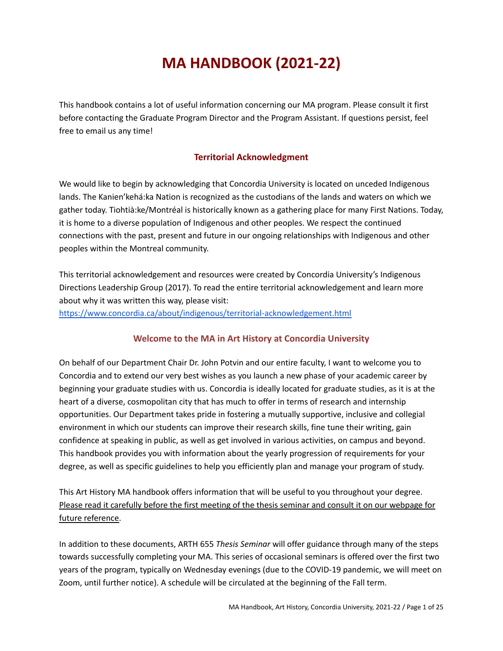# **MA HANDBOOK (2021-22)**

This handbook contains a lot of useful information concerning our MA program. Please consult it first before contacting the Graduate Program Director and the Program Assistant. If questions persist, feel free to email us any time!

# **Territorial Acknowledgment**

We would like to begin by acknowledging that Concordia University is located on unceded Indigenous lands. The Kanien'kehá:ka Nation is recognized as the custodians of the lands and waters on which we gather today. Tiohtià:ke/Montréal is historically known as a gathering place for many First Nations. Today, it is home to a diverse population of Indigenous and other peoples. We respect the continued connections with the past, present and future in our ongoing relationships with Indigenous and other peoples within the Montreal community.

This territorial acknowledgement and resources were created by Concordia University's Indigenous Directions Leadership Group (2017). To read the entire territorial acknowledgement and learn more about why it was written this way, please visit: <https://www.concordia.ca/about/indigenous/territorial-acknowledgement.html>

# **Welcome to the MA in Art History at Concordia University**

On behalf of our Department Chair Dr. John Potvin and our entire faculty, I want to welcome you to Concordia and to extend our very best wishes as you launch a new phase of your academic career by beginning your graduate studies with us. Concordia is ideally located for graduate studies, as it is at the heart of a diverse, cosmopolitan city that has much to offer in terms of research and internship opportunities. Our Department takes pride in fostering a mutually supportive, inclusive and collegial environment in which our students can improve their research skills, fine tune their writing, gain confidence at speaking in public, as well as get involved in various activities, on campus and beyond. This handbook provides you with information about the yearly progression of requirements for your degree, as well as specific guidelines to help you efficiently plan and manage your program of study.

This Art History MA handbook offers information that will be useful to you throughout your degree. Please read it carefully before the first meeting of the thesis seminar and consult it on our webpage for future reference.

In addition to these documents, ARTH 655 *Thesis Seminar* will offer guidance through many of the steps towards successfully completing your MA. This series of occasional seminars is offered over the first two years of the program, typically on Wednesday evenings (due to the COVID-19 pandemic, we will meet on Zoom, until further notice). A schedule will be circulated at the beginning of the Fall term.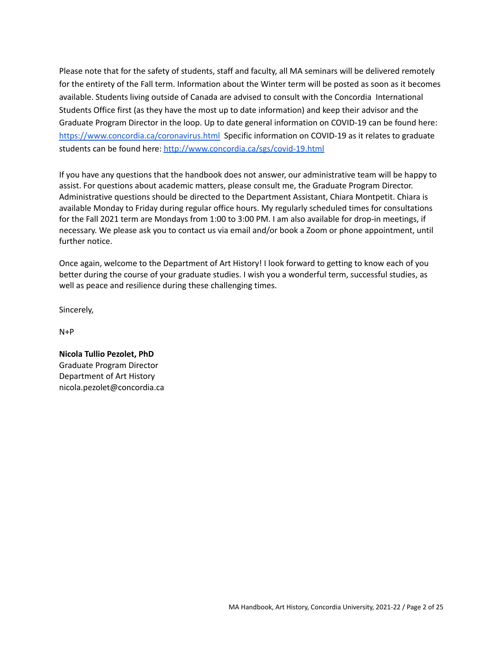Please note that for the safety of students, staff and faculty, all MA seminars will be delivered remotely for the entirety of the Fall term. Information about the Winter term will be posted as soon as it becomes available. Students living outside of Canada are advised to consult with the Concordia International Students Office first (as they have the most up to date information) and keep their advisor and the Graduate Program Director in the loop. Up to date general information on COVID-19 can be found here: <https://www.concordia.ca/coronavirus.html> Specific information on COVID-19 as it relates to graduate students can be found here: <http://www.concordia.ca/sgs/covid-19.html>

If you have any questions that the handbook does not answer, our administrative team will be happy to assist. For questions about academic matters, please consult me, the Graduate Program Director. Administrative questions should be directed to the Department Assistant, Chiara Montpetit. Chiara is available Monday to Friday during regular office hours. My regularly scheduled times for consultations for the Fall 2021 term are Mondays from 1:00 to 3:00 PM. I am also available for drop-in meetings, if necessary. We please ask you to contact us via email and/or book a Zoom or phone appointment, until further notice.

Once again, welcome to the Department of Art History! I look forward to getting to know each of you better during the course of your graduate studies. I wish you a wonderful term, successful studies, as well as peace and resilience during these challenging times.

Sincerely,

 $N+P$ 

**Nicola Tullio Pezolet, PhD** Graduate Program Director Department of Art History nicola.pezolet@concordia.ca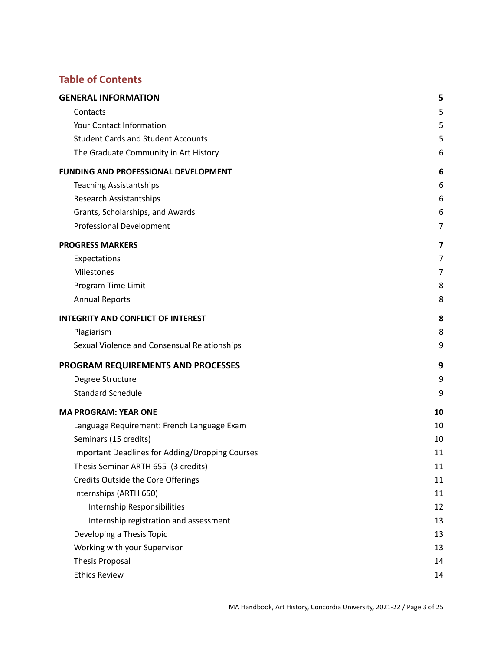# **Table of Contents**

| <b>GENERAL INFORMATION</b>                      | 5  |
|-------------------------------------------------|----|
| Contacts                                        | 5  |
| Your Contact Information                        | 5  |
| <b>Student Cards and Student Accounts</b>       | 5  |
| The Graduate Community in Art History           | 6  |
| <b>FUNDING AND PROFESSIONAL DEVELOPMENT</b>     | 6  |
| <b>Teaching Assistantships</b>                  | 6  |
| Research Assistantships                         | 6  |
| Grants, Scholarships, and Awards                | 6  |
| <b>Professional Development</b>                 | 7  |
| <b>PROGRESS MARKERS</b>                         | 7  |
| Expectations                                    | 7  |
| Milestones                                      | 7  |
| Program Time Limit                              | 8  |
| <b>Annual Reports</b>                           | 8  |
| <b>INTEGRITY AND CONFLICT OF INTEREST</b>       | 8  |
| Plagiarism                                      | 8  |
| Sexual Violence and Consensual Relationships    | 9  |
| PROGRAM REQUIREMENTS AND PROCESSES              | 9  |
| Degree Structure                                | 9  |
| <b>Standard Schedule</b>                        | 9  |
| <b>MA PROGRAM: YEAR ONE</b>                     | 10 |
| Language Requirement: French Language Exam      | 10 |
| Seminars (15 credits)                           | 10 |
| Important Deadlines for Adding/Dropping Courses | 11 |
| Thesis Seminar ARTH 655 (3 credits)             | 11 |
| Credits Outside the Core Offerings              | 11 |
| Internships (ARTH 650)                          | 11 |
| Internship Responsibilities                     | 12 |
| Internship registration and assessment          | 13 |
| Developing a Thesis Topic                       | 13 |
| Working with your Supervisor                    | 13 |
| <b>Thesis Proposal</b>                          | 14 |
| <b>Ethics Review</b>                            | 14 |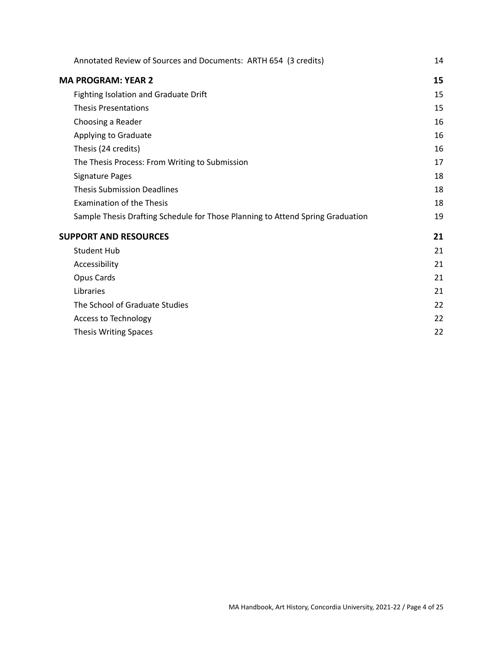| Annotated Review of Sources and Documents: ARTH 654 (3 credits)                | 14 |
|--------------------------------------------------------------------------------|----|
| <b>MA PROGRAM: YEAR 2</b>                                                      | 15 |
| Fighting Isolation and Graduate Drift                                          | 15 |
| <b>Thesis Presentations</b>                                                    | 15 |
| Choosing a Reader                                                              | 16 |
| Applying to Graduate                                                           | 16 |
| Thesis (24 credits)                                                            | 16 |
| The Thesis Process: From Writing to Submission                                 | 17 |
| Signature Pages                                                                | 18 |
| <b>Thesis Submission Deadlines</b>                                             | 18 |
| <b>Examination of the Thesis</b>                                               | 18 |
| Sample Thesis Drafting Schedule for Those Planning to Attend Spring Graduation | 19 |
| <b>SUPPORT AND RESOURCES</b>                                                   | 21 |
| <b>Student Hub</b>                                                             | 21 |
| Accessibility                                                                  | 21 |
| Opus Cards                                                                     | 21 |
| Libraries                                                                      | 21 |
| The School of Graduate Studies                                                 | 22 |
| Access to Technology                                                           | 22 |
| Thesis Writing Spaces                                                          | 22 |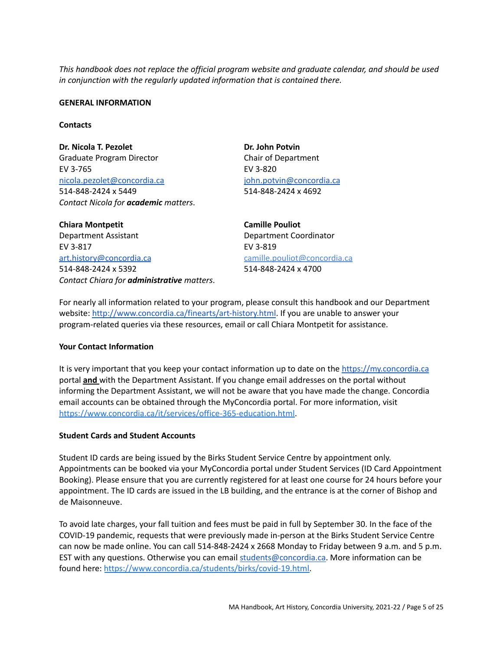*This handbook does not replace the official program website and graduate calendar, and should be used in conjunction with the regularly updated information that is contained there.*

#### <span id="page-4-0"></span>**GENERAL INFORMATION**

#### <span id="page-4-1"></span>**Contacts**

**Dr.** Nicola T. Pezolet **Dr. Dr.** John Potvin Graduate Program Director Chair of Department EV 3-765 EV 3-820 [nicola.pezolet@concordia.ca](mailto:nicola.pezolet@concordia.ca) 514-848-2424 x 5449 *Contact Nicola for academic matters*.

john.potvin@concordia.ca 514-848-2424 x 4692

**Chiara Montpetit Camille Pouliot** Department Assistant Department Coordinator EV 3-817 EV 3-819 [art.history@concordia.ca](mailto:art.history@concordia.ca) 514-848-2424 x 5392 *Contact Chiara for administrative matters*.

camille.pouliot@concordia.ca 514-848-2424 x 4700

For nearly all information related to your program, please consult this handbook and our Department website: <http://www.concordia.ca/finearts/art-history.html>. If you are unable to answer your program-related queries via these resources, email or call Chiara Montpetit for assistance.

### <span id="page-4-2"></span>**Your Contact Information**

It is very important that you keep your contact information up to date on the [https://my.concordia.ca](https://my.concordia.ca/) portal **and** with the Department Assistant. If you change email addresses on the portal without informing the Department Assistant, we will not be aware that you have made the change. Concordia email accounts can be obtained through the MyConcordia portal. For more information, visit [https://www.concordia.ca/it/services/office-365-education.html.](https://www.concordia.ca/it/services/office-365-education.html)

### <span id="page-4-3"></span>**Student Cards and Student Accounts**

Student ID cards are being issued by the Birks Student Service Centre by appointment only. Appointments can be booked via your MyConcordia portal under Student Services (ID Card Appointment Booking). Please ensure that you are currently registered for at least one course for 24 hours before your appointment. The ID cards are issued in the LB building, and the entrance is at the corner of Bishop and de Maisonneuve.

To avoid late charges, your fall tuition and fees must be paid in full by September 30. In the face of the COVID-19 pandemic, requests that were previously made in-person at the Birks Student Service Centre can now be made online. You can call 514-848-2424 x 2668 Monday to Friday between 9 a.m. and 5 p.m. EST with any questions. Otherwise you can email [students@concordia.ca.](mailto:students@concordia.ca) More information can be found here: [https://www.concordia.ca/students/birks/covid-19.html.](https://www.concordia.ca/students/birks/covid-19.html)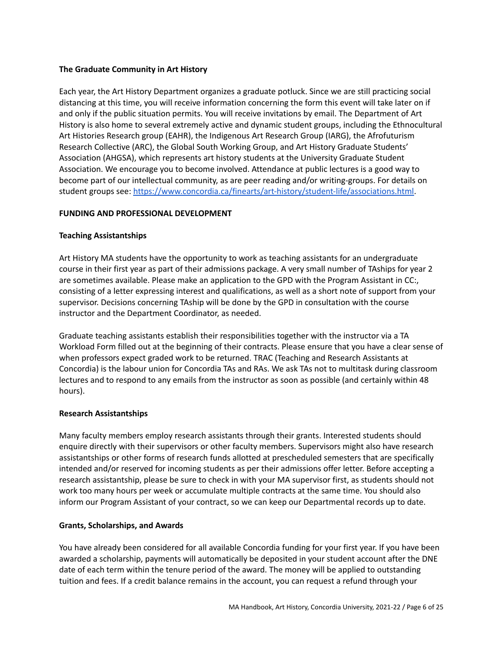# <span id="page-5-0"></span>**The Graduate Community in Art History**

Each year, the Art History Department organizes a graduate potluck. Since we are still practicing social distancing at this time, you will receive information concerning the form this event will take later on if and only if the public situation permits. You will receive invitations by email. The Department of Art History is also home to several extremely active and dynamic student groups, including the Ethnocultural Art Histories Research group (EAHR), the Indigenous Art Research Group (IARG), the Afrofuturism Research Collective (ARC), the Global South Working Group, and Art History Graduate Students' Association (AHGSA), which represents art history students at the University Graduate Student Association. We encourage you to become involved. Attendance at public lectures is a good way to become part of our intellectual community, as are peer reading and/or writing-groups. For details on student groups see: <https://www.concordia.ca/finearts/art-history/student-life/associations.html>.

# <span id="page-5-1"></span>**FUNDING AND PROFESSIONAL DEVELOPMENT**

# <span id="page-5-2"></span>**Teaching Assistantships**

Art History MA students have the opportunity to work as teaching assistants for an undergraduate course in their first year as part of their admissions package. A very small number of TAships for year 2 are sometimes available. Please make an application to the GPD with the Program Assistant in CC:, consisting of a letter expressing interest and qualifications, as well as a short note of support from your supervisor. Decisions concerning TAship will be done by the GPD in consultation with the course instructor and the Department Coordinator, as needed.

Graduate teaching assistants establish their responsibilities together with the instructor via a TA Workload Form filled out at the beginning of their contracts. Please ensure that you have a clear sense of when professors expect graded work to be returned. TRAC (Teaching and Research Assistants at Concordia) is the labour union for Concordia TAs and RAs. We ask TAs not to multitask during classroom lectures and to respond to any emails from the instructor as soon as possible (and certainly within 48 hours).

# <span id="page-5-3"></span>**Research Assistantships**

Many faculty members employ research assistants through their grants. Interested students should enquire directly with their supervisors or other faculty members. Supervisors might also have research assistantships or other forms of research funds allotted at prescheduled semesters that are specifically intended and/or reserved for incoming students as per their admissions offer letter. Before accepting a research assistantship, please be sure to check in with your MA supervisor first, as students should not work too many hours per week or accumulate multiple contracts at the same time. You should also inform our Program Assistant of your contract, so we can keep our Departmental records up to date.

# <span id="page-5-4"></span>**Grants, Scholarships, and Awards**

You have already been considered for all available Concordia funding for your first year. If you have been awarded a scholarship, payments will automatically be deposited in your student account after the DNE date of each term within the tenure period of the award. The money will be applied to outstanding tuition and fees. If a credit balance remains in the account, you can request a refund through your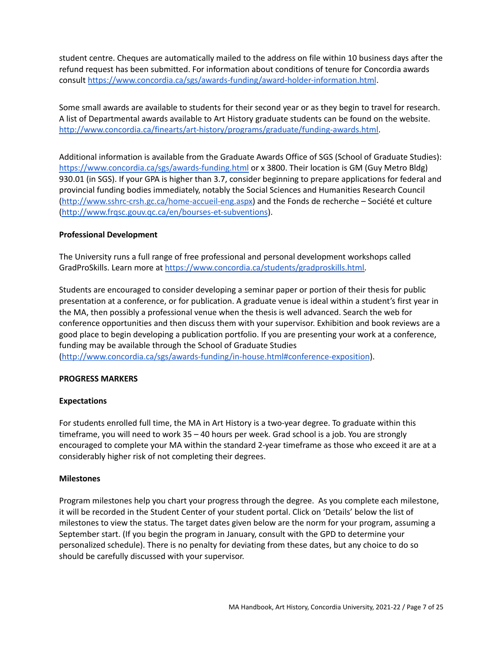student centre. Cheques are automatically mailed to the address on file within 10 business days after the refund request has been submitted. For information about conditions of tenure for Concordia awards consult <https://www.concordia.ca/sgs/awards-funding/award-holder-information.html>.

Some small awards are available to students for their second year or as they begin to travel for research. A list of Departmental awards available to Art History graduate students can be found on the website. [http://www.concordia.ca/finearts/art-history/programs/graduate/funding-awards.html.](http://www.concordia.ca/finearts/art-history/programs/graduate/funding-awards.html)

Additional information is available from the Graduate Awards Office of SGS (School of Graduate Studies): <https://www.concordia.ca/sgs/awards-funding.html> or x 3800. Their location is GM (Guy Metro Bldg) 930.01 (in SGS). If your GPA is higher than 3.7, consider beginning to prepare applications for federal and provincial funding bodies immediately, notably the Social Sciences and Humanities Research Council [\(http://www.sshrc-crsh.gc.ca/home-accueil-eng.aspx\)](http://www.sshrc-crsh.gc.ca/home-accueil-eng.aspx) and the Fonds de recherche – Société et culture [\(http://www.frqsc.gouv.qc.ca/en/bourses-et-subventions](http://www.frqsc.gouv.qc.ca/en/bourses-et-subventions)).

### <span id="page-6-0"></span>**Professional Development**

The University runs a full range of free professional and personal development workshops called GradProSkills. Learn more at [https://www.concordia.ca/students/gradproskills.html.](https://www.concordia.ca/students/gradproskills.html)

Students are encouraged to consider developing a seminar paper or portion of their thesis for public presentation at a conference, or for publication. A graduate venue is ideal within a student's first year in the MA, then possibly a professional venue when the thesis is well advanced. Search the web for conference opportunities and then discuss them with your supervisor. Exhibition and book reviews are a good place to begin developing a publication portfolio. If you are presenting your work at a conference, funding may be available through the School of Graduate Studies [\(http://www.concordia.ca/sgs/awards-funding/in-house.html#conference-exposition](http://www.concordia.ca/sgs/awards-funding/in-house.html#conference-exposition)).

### <span id="page-6-1"></span>**PROGRESS MARKERS**

### <span id="page-6-2"></span>**Expectations**

For students enrolled full time, the MA in Art History is a two-year degree. To graduate within this timeframe, you will need to work 35 – 40 hours per week. Grad school is a job. You are strongly encouraged to complete your MA within the standard 2-year timeframe as those who exceed it are at a considerably higher risk of not completing their degrees.

### <span id="page-6-3"></span>**Milestones**

Program milestones help you chart your progress through the degree. As you complete each milestone, it will be recorded in the Student Center of your student portal. Click on 'Details' below the list of milestones to view the status. The target dates given below are the norm for your program, assuming a September start. (If you begin the program in January, consult with the GPD to determine your personalized schedule). There is no penalty for deviating from these dates, but any choice to do so should be carefully discussed with your supervisor.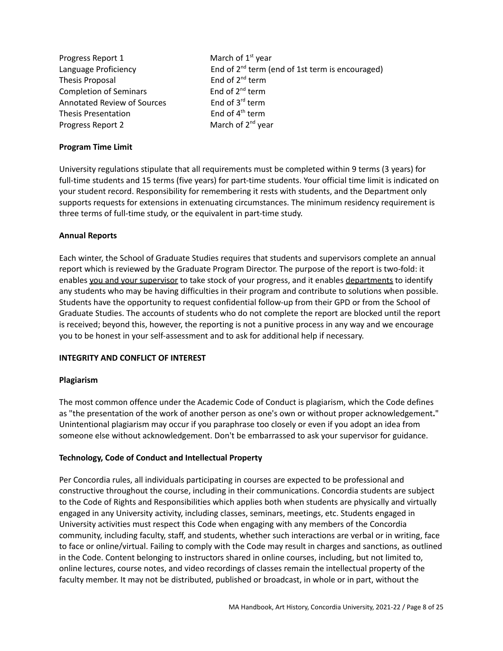| Progress Report 1                  | March of $1st$ year                                         |
|------------------------------------|-------------------------------------------------------------|
| Language Proficiency               | End of 2 <sup>nd</sup> term (end of 1st term is encouraged) |
| Thesis Proposal                    | End of $2^{nd}$ term                                        |
| <b>Completion of Seminars</b>      | End of $2^{nd}$ term                                        |
| <b>Annotated Review of Sources</b> | End of 3 <sup>rd</sup> term                                 |
| <b>Thesis Presentation</b>         | End of 4 <sup>th</sup> term                                 |
| Progress Report 2                  | March of 2 <sup>nd</sup> year                               |

# <span id="page-7-0"></span>**Program Time Limit**

University regulations stipulate that all requirements must be completed within 9 terms (3 years) for full-time students and 15 terms (five years) for part-time students. Your official time limit is indicated on your student record. Responsibility for remembering it rests with students, and the Department only supports requests for extensions in extenuating circumstances. The minimum residency requirement is three terms of full-time study, or the equivalent in part-time study.

### <span id="page-7-1"></span>**Annual Reports**

Each winter, the School of Graduate Studies requires that students and supervisors complete an annual report which is reviewed by the Graduate Program Director. The purpose of the report is two-fold: it enables you and your supervisor to take stock of your progress, and it enables departments to identify any students who may be having difficulties in their program and contribute to solutions when possible. Students have the opportunity to request confidential follow-up from their GPD or from the School of Graduate Studies. The accounts of students who do not complete the report are blocked until the report is received; beyond this, however, the reporting is not a punitive process in any way and we encourage you to be honest in your self-assessment and to ask for additional help if necessary.

### <span id="page-7-2"></span>**INTEGRITY AND CONFLICT OF INTEREST**

### <span id="page-7-3"></span>**Plagiarism**

The most common offence under the Academic Code of Conduct is plagiarism, which the Code defines as "the presentation of the work of another person as one's own or without proper acknowledgement**.**" Unintentional plagiarism may occur if you paraphrase too closely or even if you adopt an idea from someone else without acknowledgement. Don't be embarrassed to ask your supervisor for guidance.

# **Technology, Code of Conduct and Intellectual Property**

Per Concordia rules, all individuals participating in courses are expected to be professional and constructive throughout the course, including in their communications. Concordia students are subject to the Code of Rights and Responsibilities which applies both when students are physically and virtually engaged in any University activity, including classes, seminars, meetings, etc. Students engaged in University activities must respect this Code when engaging with any members of the Concordia community, including faculty, staff, and students, whether such interactions are verbal or in writing, face to face or online/virtual. Failing to comply with the Code may result in charges and sanctions, as outlined in the Code. Content belonging to instructors shared in online courses, including, but not limited to, online lectures, course notes, and video recordings of classes remain the intellectual property of the faculty member. It may not be distributed, published or broadcast, in whole or in part, without the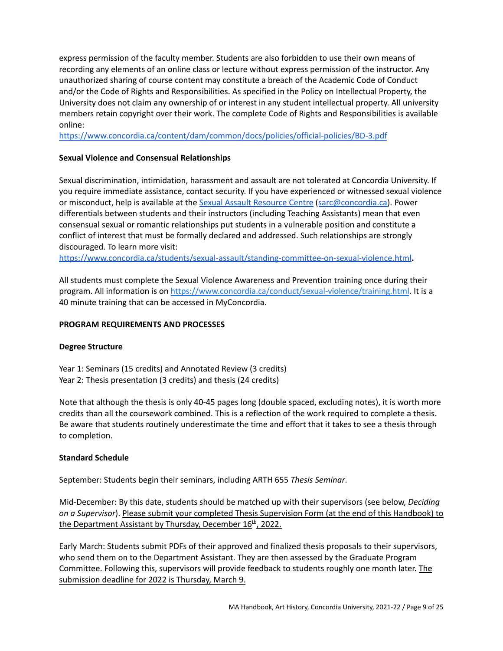express permission of the faculty member. Students are also forbidden to use their own means of recording any elements of an online class or lecture without express permission of the instructor. Any unauthorized sharing of course content may constitute a breach of the Academic Code of Conduct and/or the Code of Rights and Responsibilities. As specified in the Policy on Intellectual Property, the University does not claim any ownership of or interest in any student intellectual property. All university members retain copyright over their work. The complete Code of Rights and Responsibilities is available online:

<https://www.concordia.ca/content/dam/common/docs/policies/official-policies/BD-3.pdf>

# <span id="page-8-0"></span>**Sexual Violence and Consensual Relationships**

Sexual discrimination, intimidation, harassment and assault are not tolerated at Concordia University. If you require immediate assistance, contact security. If you have experienced or witnessed sexual violence or misconduct, help is available at the Sexual Assault [Resource](https://www.concordia.ca/students/sexual-assault.html) Centre ([sarc@concordia.ca\)](mailto:sarc@concordia.ca). Power differentials between students and their instructors (including Teaching Assistants) mean that even consensual sexual or romantic relationships put students in a vulnerable position and constitute a conflict of interest that must be formally declared and addressed. Such relationships are strongly discouraged. To learn more visit:

<https://www.concordia.ca/students/sexual-assault/standing-committee-on-sexual-violence.html>**.**

All students must complete the Sexual Violence Awareness and Prevention training once during their program. All information is on [https://www.concordia.ca/conduct/sexual-violence/training.html](https://www.concordia.ca/conduct/sexual-violence/training.html.All). It is a 40 minute training that can be accessed in MyConcordia.

# <span id="page-8-1"></span>**PROGRAM REQUIREMENTS AND PROCESSES**

# <span id="page-8-2"></span>**Degree Structure**

Year 1: Seminars (15 credits) and Annotated Review (3 credits) Year 2: Thesis presentation (3 credits) and thesis (24 credits)

Note that although the thesis is only 40-45 pages long (double spaced, excluding notes), it is worth more credits than all the coursework combined. This is a reflection of the work required to complete a thesis. Be aware that students routinely underestimate the time and effort that it takes to see a thesis through to completion.

# <span id="page-8-3"></span>**Standard Schedule**

September: Students begin their seminars, including ARTH 655 *Thesis Seminar*.

Mid-December: By this date, students should be matched up with their supervisors (see below, *Deciding on a Supervisor*). Please submit your completed Thesis Supervision Form (at the end of this Handbook) to the Department Assistant by Thursday, December 16<sup>th</sup>, 2022.

Early March: Students submit PDFs of their approved and finalized thesis proposals to their supervisors, who send them on to the Department Assistant. They are then assessed by the Graduate Program Committee. Following this, supervisors will provide feedback to students roughly one month later. The submission deadline for 2022 is Thursday, March 9.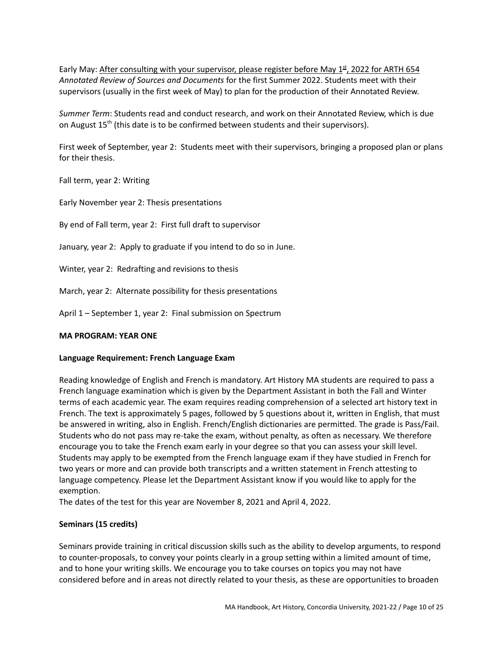Early May: After consulting with your supervisor, please register before May 1<sup>st</sup>, 2022 for ARTH 654 *Annotated Review of Sources and Documents* for the first Summer 2022. Students meet with their supervisors (usually in the first week of May) to plan for the production of their Annotated Review.

*Summer Term*: Students read and conduct research, and work on their Annotated Review, which is due on August 15<sup>th</sup> (this date is to be confirmed between students and their supervisors).

First week of September, year 2: Students meet with their supervisors, bringing a proposed plan or plans for their thesis.

Fall term, year 2: Writing

Early November year 2: Thesis presentations

By end of Fall term, year 2: First full draft to supervisor

January, year 2: Apply to graduate if you intend to do so in June.

Winter, year 2: Redrafting and revisions to thesis

March, year 2: Alternate possibility for thesis presentations

April 1 – September 1, year 2: Final submission on Spectrum

### <span id="page-9-0"></span>**MA PROGRAM: YEAR ONE**

### <span id="page-9-1"></span>**Language Requirement: French Language Exam**

Reading knowledge of English and French is mandatory. Art History MA students are required to pass a French language examination which is given by the Department Assistant in both the Fall and Winter terms of each academic year. The exam requires reading comprehension of a selected art history text in French. The text is approximately 5 pages, followed by 5 questions about it, written in English, that must be answered in writing, also in English. French/English dictionaries are permitted. The grade is Pass/Fail. Students who do not pass may re-take the exam, without penalty, as often as necessary. We therefore encourage you to take the French exam early in your degree so that you can assess your skill level. Students may apply to be exempted from the French language exam if they have studied in French for two years or more and can provide both transcripts and a written statement in French attesting to language competency. Please let the Department Assistant know if you would like to apply for the exemption.

The dates of the test for this year are November 8, 2021 and April 4, 2022.

### <span id="page-9-2"></span>**Seminars (15 credits)**

Seminars provide training in critical discussion skills such as the ability to develop arguments, to respond to counter-proposals, to convey your points clearly in a group setting within a limited amount of time, and to hone your writing skills. We encourage you to take courses on topics you may not have considered before and in areas not directly related to your thesis, as these are opportunities to broaden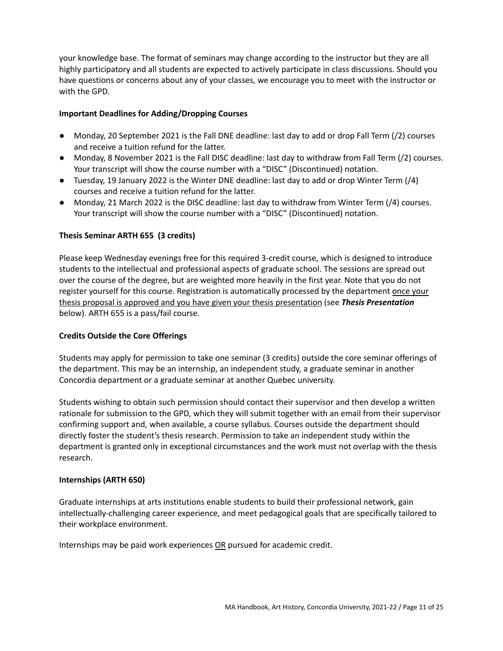your knowledge base. The format of seminars may change according to the instructor but they are all highly participatory and all students are expected to actively participate in class discussions. Should you have questions or concerns about any of your classes, we encourage you to meet with the instructor or with the GPD.

# <span id="page-10-0"></span>**Important Deadlines for Adding/Dropping Courses**

- Monday, 20 September 2021 is the Fall DNE deadline: last day to add or drop Fall Term (/2) courses and receive a tuition refund for the latter.
- Monday, 8 November 2021 is the Fall DISC deadline: last day to withdraw from Fall Term (/2) courses. Your transcript will show the course number with a "DISC" (Discontinued) notation.
- Tuesday, 19 January 2022 is the Winter DNE deadline: last day to add or drop Winter Term (/4) courses and receive a tuition refund for the latter.
- Monday, 21 March 2022 is the DISC deadline: last day to withdraw from Winter Term (/4) courses. Your transcript will show the course number with a "DISC" (Discontinued) notation.

# <span id="page-10-1"></span>**Thesis Seminar ARTH 655 (3 credits)**

Please keep Wednesday evenings free for this required 3-credit course, which is designed to introduce students to the intellectual and professional aspects of graduate school. The sessions are spread out over the course of the degree, but are weighted more heavily in the first year. Note that you do not register yourself for this course. Registration is automatically processed by the department once your thesis proposal is approved and you have given your thesis presentation (see *Thesis Presentation* below). ARTH 655 is a pass/fail course.

# <span id="page-10-2"></span>**Credits Outside the Core Offerings**

Students may apply for permission to take one seminar (3 credits) outside the core seminar offerings of the department. This may be an internship, an independent study, a graduate seminar in another Concordia department or a graduate seminar at another Quebec university.

Students wishing to obtain such permission should contact their supervisor and then develop a written rationale for submission to the GPD, which they will submit together with an email from their supervisor confirming support and, when available, a course syllabus. Courses outside the department should directly foster the student's thesis research. Permission to take an independent study within the department is granted only in exceptional circumstances and the work must not overlap with the thesis research.

# <span id="page-10-3"></span>**Internships (ARTH 650)**

Graduate internships at arts institutions enable students to build their professional network, gain intellectually-challenging career experience, and meet pedagogical goals that are specifically tailored to their workplace environment.

Internships may be paid work experiences OR pursued for academic credit.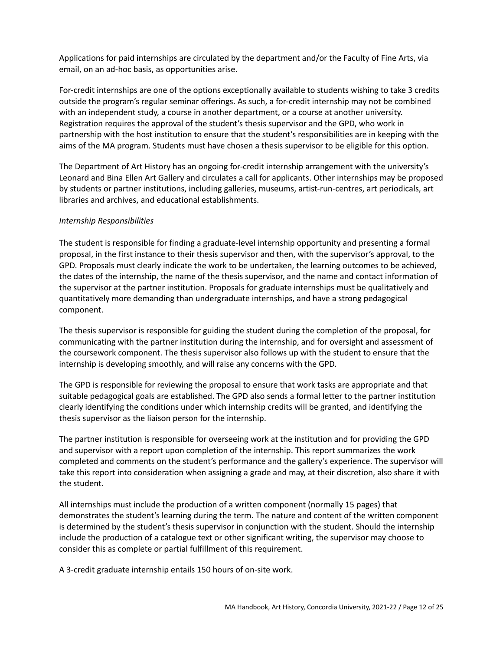Applications for paid internships are circulated by the department and/or the Faculty of Fine Arts, via email, on an ad-hoc basis, as opportunities arise.

For-credit internships are one of the options exceptionally available to students wishing to take 3 credits outside the program's regular seminar offerings. As such, a for-credit internship may not be combined with an independent study, a course in another department, or a course at another university. Registration requires the approval of the student's thesis supervisor and the GPD, who work in partnership with the host institution to ensure that the student's responsibilities are in keeping with the aims of the MA program. Students must have chosen a thesis supervisor to be eligible for this option.

The Department of Art History has an ongoing for-credit internship arrangement with the university's Leonard and Bina Ellen Art Gallery and circulates a call for applicants. Other internships may be proposed by students or partner institutions, including galleries, museums, artist-run-centres, art periodicals, art libraries and archives, and educational establishments.

# <span id="page-11-0"></span>*Internship Responsibilities*

The student is responsible for finding a graduate-level internship opportunity and presenting a formal proposal, in the first instance to their thesis supervisor and then, with the supervisor's approval, to the GPD. Proposals must clearly indicate the work to be undertaken, the learning outcomes to be achieved, the dates of the internship, the name of the thesis supervisor, and the name and contact information of the supervisor at the partner institution. Proposals for graduate internships must be qualitatively and quantitatively more demanding than undergraduate internships, and have a strong pedagogical component.

The thesis supervisor is responsible for guiding the student during the completion of the proposal, for communicating with the partner institution during the internship, and for oversight and assessment of the coursework component. The thesis supervisor also follows up with the student to ensure that the internship is developing smoothly, and will raise any concerns with the GPD.

The GPD is responsible for reviewing the proposal to ensure that work tasks are appropriate and that suitable pedagogical goals are established. The GPD also sends a formal letter to the partner institution clearly identifying the conditions under which internship credits will be granted, and identifying the thesis supervisor as the liaison person for the internship.

The partner institution is responsible for overseeing work at the institution and for providing the GPD and supervisor with a report upon completion of the internship. This report summarizes the work completed and comments on the student's performance and the gallery's experience. The supervisor will take this report into consideration when assigning a grade and may, at their discretion, also share it with the student.

All internships must include the production of a written component (normally 15 pages) that demonstrates the student's learning during the term. The nature and content of the written component is determined by the student's thesis supervisor in conjunction with the student. Should the internship include the production of a catalogue text or other significant writing, the supervisor may choose to consider this as complete or partial fulfillment of this requirement.

A 3-credit graduate internship entails 150 hours of on-site work.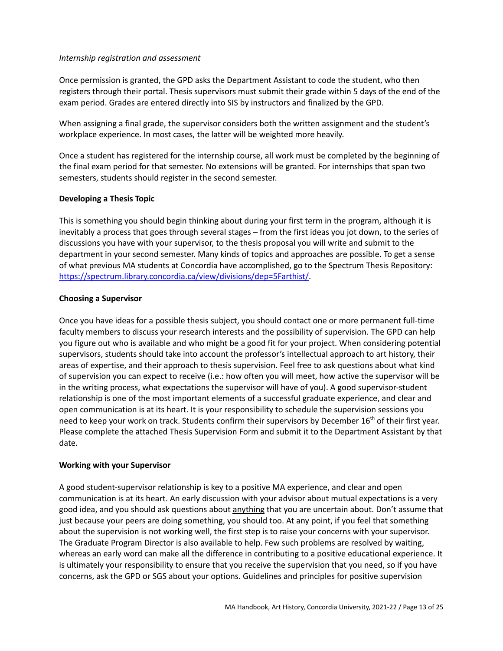### <span id="page-12-0"></span>*Internship registration and assessment*

Once permission is granted, the GPD asks the Department Assistant to code the student, who then registers through their portal. Thesis supervisors must submit their grade within 5 days of the end of the exam period. Grades are entered directly into SIS by instructors and finalized by the GPD.

When assigning a final grade, the supervisor considers both the written assignment and the student's workplace experience. In most cases, the latter will be weighted more heavily.

Once a student has registered for the internship course, all work must be completed by the beginning of the final exam period for that semester. No extensions will be granted. For internships that span two semesters, students should register in the second semester.

# <span id="page-12-1"></span>**Developing a Thesis Topic**

This is something you should begin thinking about during your first term in the program, although it is inevitably a process that goes through several stages – from the first ideas you jot down, to the series of discussions you have with your supervisor, to the thesis proposal you will write and submit to the department in your second semester. Many kinds of topics and approaches are possible. To get a sense of what previous MA students at Concordia have accomplished, go to the Spectrum Thesis Repository: <https://spectrum.library.concordia.ca/view/divisions/dep=5Farthist/>.

# **Choosing a Supervisor**

Once you have ideas for a possible thesis subject, you should contact one or more permanent full-time faculty members to discuss your research interests and the possibility of supervision. The GPD can help you figure out who is available and who might be a good fit for your project. When considering potential supervisors, students should take into account the professor's intellectual approach to art history, their areas of expertise, and their approach to thesis supervision. Feel free to ask questions about what kind of supervision you can expect to receive (i.e.: how often you will meet, how active the supervisor will be in the writing process, what expectations the supervisor will have of you). A good supervisor-student relationship is one of the most important elements of a successful graduate experience, and clear and open communication is at its heart. It is your responsibility to schedule the supervision sessions you need to keep your work on track. Students confirm their supervisors by December 16<sup>th</sup> of their first year. Please complete the attached Thesis Supervision Form and submit it to the Department Assistant by that date.

### <span id="page-12-2"></span>**Working with your Supervisor**

A good student-supervisor relationship is key to a positive MA experience, and clear and open communication is at its heart. An early discussion with your advisor about mutual expectations is a very good idea, and you should ask questions about anything that you are uncertain about. Don't assume that just because your peers are doing something, you should too. At any point, if you feel that something about the supervision is not working well, the first step is to raise your concerns with your supervisor. The Graduate Program Director is also available to help. Few such problems are resolved by waiting, whereas an early word can make all the difference in contributing to a positive educational experience. It is ultimately your responsibility to ensure that you receive the supervision that you need, so if you have concerns, ask the GPD or SGS about your options. Guidelines and principles for positive supervision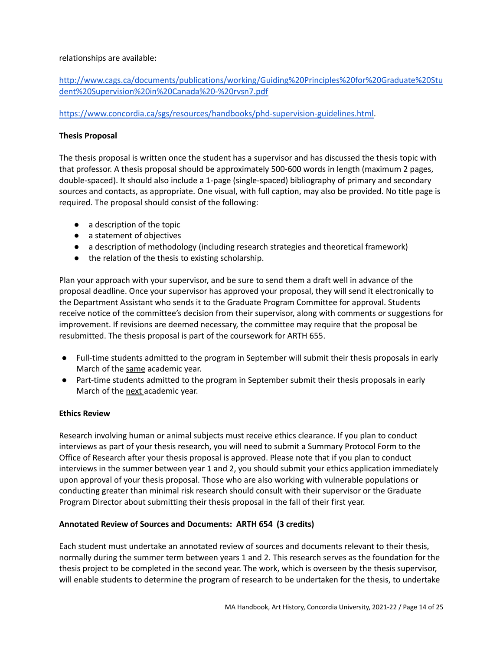### relationships are available:

# [http://www.cags.ca/documents/publications/working/Guiding%20Principles%20for%20Graduate%20Stu](http://www.cags.ca/documents/publications/working/Guiding%20Principles%20for%20Graduate%20Student%20Supervision%20in%20Canada%20-%20rvsn7.pdf) [dent%20Supervision%20in%20Canada%20-%20rvsn7.pdf](http://www.cags.ca/documents/publications/working/Guiding%20Principles%20for%20Graduate%20Student%20Supervision%20in%20Canada%20-%20rvsn7.pdf)

# <https://www.concordia.ca/sgs/resources/handbooks/phd-supervision-guidelines.html>.

# <span id="page-13-0"></span>**Thesis Proposal**

The thesis proposal is written once the student has a supervisor and has discussed the thesis topic with that professor. A thesis proposal should be approximately 500-600 words in length (maximum 2 pages, double-spaced). It should also include a 1-page (single-spaced) bibliography of primary and secondary sources and contacts, as appropriate. One visual, with full caption, may also be provided. No title page is required. The proposal should consist of the following:

- a description of the topic
- a statement of objectives
- a description of methodology (including research strategies and theoretical framework)
- the relation of the thesis to existing scholarship.

Plan your approach with your supervisor, and be sure to send them a draft well in advance of the proposal deadline. Once your supervisor has approved your proposal, they will send it electronically to the Department Assistant who sends it to the Graduate Program Committee for approval. Students receive notice of the committee's decision from their supervisor, along with comments or suggestions for improvement. If revisions are deemed necessary, the committee may require that the proposal be resubmitted. The thesis proposal is part of the coursework for ARTH 655.

- Full-time students admitted to the program in September will submit their thesis proposals in early March of the same academic year.
- Part-time students admitted to the program in September submit their thesis proposals in early March of the next academic year.

# <span id="page-13-1"></span>**Ethics Review**

Research involving human or animal subjects must receive ethics clearance. If you plan to conduct interviews as part of your thesis research, you will need to submit a Summary Protocol Form to the Office of Research after your thesis proposal is approved. Please note that if you plan to conduct interviews in the summer between year 1 and 2, you should submit your ethics application immediately upon approval of your thesis proposal. Those who are also working with vulnerable populations or conducting greater than minimal risk research should consult with their supervisor or the Graduate Program Director about submitting their thesis proposal in the fall of their first year.

# <span id="page-13-2"></span>**Annotated Review of Sources and Documents: ARTH 654 (3 credits)**

Each student must undertake an annotated review of sources and documents relevant to their thesis, normally during the summer term between years 1 and 2. This research serves as the foundation for the thesis project to be completed in the second year. The work, which is overseen by the thesis supervisor, will enable students to determine the program of research to be undertaken for the thesis, to undertake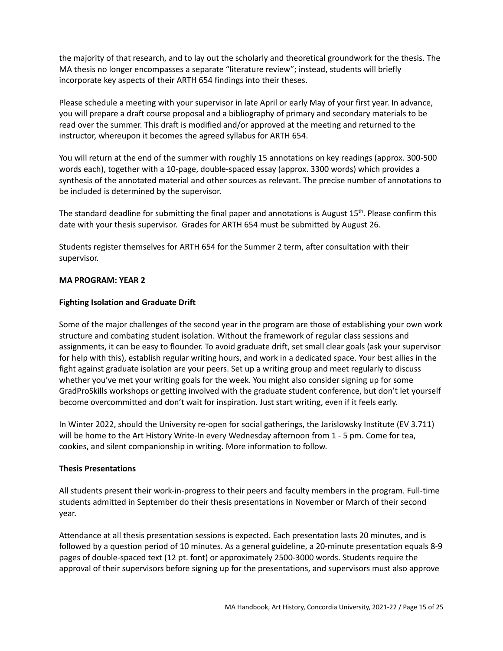the majority of that research, and to lay out the scholarly and theoretical groundwork for the thesis. The MA thesis no longer encompasses a separate "literature review"; instead, students will briefly incorporate key aspects of their ARTH 654 findings into their theses.

Please schedule a meeting with your supervisor in late April or early May of your first year. In advance, you will prepare a draft course proposal and a bibliography of primary and secondary materials to be read over the summer. This draft is modified and/or approved at the meeting and returned to the instructor, whereupon it becomes the agreed syllabus for ARTH 654.

You will return at the end of the summer with roughly 15 annotations on key readings (approx. 300-500 words each), together with a 10-page, double-spaced essay (approx. 3300 words) which provides a synthesis of the annotated material and other sources as relevant. The precise number of annotations to be included is determined by the supervisor.

The standard deadline for submitting the final paper and annotations is August 15<sup>th</sup>. Please confirm this date with your thesis supervisor. Grades for ARTH 654 must be submitted by August 26.

Students register themselves for ARTH 654 for the Summer 2 term, after consultation with their supervisor.

### <span id="page-14-0"></span>**MA PROGRAM: YEAR 2**

### <span id="page-14-1"></span>**Fighting Isolation and Graduate Drift**

Some of the major challenges of the second year in the program are those of establishing your own work structure and combating student isolation. Without the framework of regular class sessions and assignments, it can be easy to flounder. To avoid graduate drift, set small clear goals (ask your supervisor for help with this), establish regular writing hours, and work in a dedicated space. Your best allies in the fight against graduate isolation are your peers. Set up a writing group and meet regularly to discuss whether you've met your writing goals for the week. You might also consider signing up for some GradProSkills workshops or getting involved with the graduate student conference, but don't let yourself become overcommitted and don't wait for inspiration. Just start writing, even if it feels early.

In Winter 2022, should the University re-open for social gatherings, the Jarislowsky Institute (EV 3.711) will be home to the Art History Write-In every Wednesday afternoon from 1 - 5 pm. Come for tea, cookies, and silent companionship in writing. More information to follow.

### <span id="page-14-2"></span>**Thesis Presentations**

All students present their work-in-progress to their peers and faculty members in the program. Full-time students admitted in September do their thesis presentations in November or March of their second year.

Attendance at all thesis presentation sessions is expected. Each presentation lasts 20 minutes, and is followed by a question period of 10 minutes. As a general guideline, a 20-minute presentation equals 8-9 pages of double-spaced text (12 pt. font) or approximately 2500-3000 words. Students require the approval of their supervisors before signing up for the presentations, and supervisors must also approve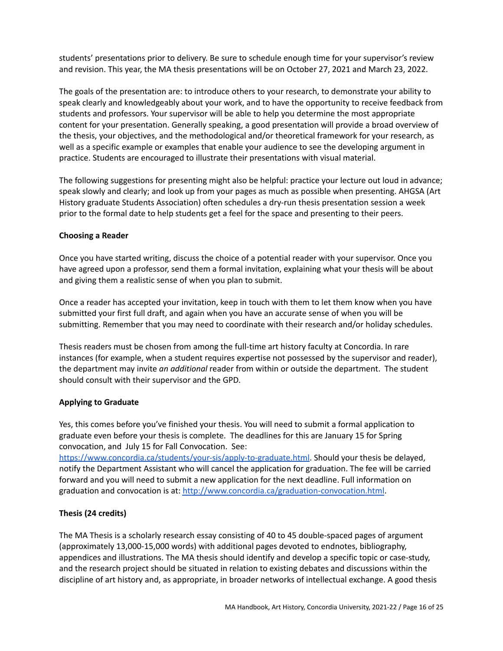students' presentations prior to delivery. Be sure to schedule enough time for your supervisor's review and revision. This year, the MA thesis presentations will be on October 27, 2021 and March 23, 2022.

The goals of the presentation are: to introduce others to your research, to demonstrate your ability to speak clearly and knowledgeably about your work, and to have the opportunity to receive feedback from students and professors. Your supervisor will be able to help you determine the most appropriate content for your presentation. Generally speaking, a good presentation will provide a broad overview of the thesis, your objectives, and the methodological and/or theoretical framework for your research, as well as a specific example or examples that enable your audience to see the developing argument in practice. Students are encouraged to illustrate their presentations with visual material.

The following suggestions for presenting might also be helpful: practice your lecture out loud in advance; speak slowly and clearly; and look up from your pages as much as possible when presenting. AHGSA (Art History graduate Students Association) often schedules a dry-run thesis presentation session a week prior to the formal date to help students get a feel for the space and presenting to their peers.

# <span id="page-15-0"></span>**Choosing a Reader**

Once you have started writing, discuss the choice of a potential reader with your supervisor. Once you have agreed upon a professor, send them a formal invitation, explaining what your thesis will be about and giving them a realistic sense of when you plan to submit.

Once a reader has accepted your invitation, keep in touch with them to let them know when you have submitted your first full draft, and again when you have an accurate sense of when you will be submitting. Remember that you may need to coordinate with their research and/or holiday schedules.

Thesis readers must be chosen from among the full-time art history faculty at Concordia. In rare instances (for example, when a student requires expertise not possessed by the supervisor and reader), the department may invite *an additional* reader from within or outside the department. The student should consult with their supervisor and the GPD.

# <span id="page-15-1"></span>**Applying to Graduate**

Yes, this comes before you've finished your thesis. You will need to submit a formal application to graduate even before your thesis is complete. The deadlines for this are January 15 for Spring convocation, and July 15 for Fall Convocation. See:

<https://www.concordia.ca/students/your-sis/apply-to-graduate.html>. Should your thesis be delayed, notify the Department Assistant who will cancel the application for graduation. The fee will be carried forward and you will need to submit a new application for the next deadline. Full information on graduation and convocation is at: <http://www.concordia.ca/graduation-convocation.html>.

# <span id="page-15-2"></span>**Thesis (24 credits)**

The MA Thesis is a scholarly research essay consisting of 40 to 45 double-spaced pages of argument (approximately 13,000-15,000 words) with additional pages devoted to endnotes, bibliography, appendices and illustrations. The MA thesis should identify and develop a specific topic or case-study, and the research project should be situated in relation to existing debates and discussions within the discipline of art history and, as appropriate, in broader networks of intellectual exchange. A good thesis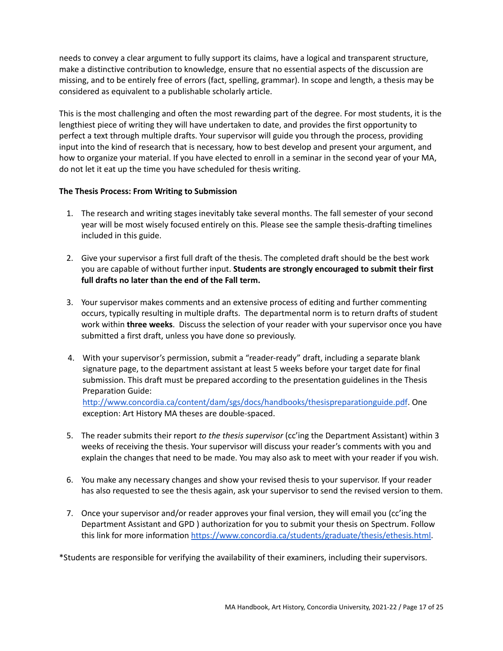needs to convey a clear argument to fully support its claims, have a logical and transparent structure, make a distinctive contribution to knowledge, ensure that no essential aspects of the discussion are missing, and to be entirely free of errors (fact, spelling, grammar). In scope and length, a thesis may be considered as equivalent to a publishable scholarly article.

This is the most challenging and often the most rewarding part of the degree. For most students, it is the lengthiest piece of writing they will have undertaken to date, and provides the first opportunity to perfect a text through multiple drafts. Your supervisor will guide you through the process, providing input into the kind of research that is necessary, how to best develop and present your argument, and how to organize your material. If you have elected to enroll in a seminar in the second year of your MA, do not let it eat up the time you have scheduled for thesis writing.

# <span id="page-16-0"></span>**The Thesis Process: From Writing to Submission**

- 1. The research and writing stages inevitably take several months. The fall semester of your second year will be most wisely focused entirely on this. Please see the sample thesis-drafting timelines included in this guide.
- 2. Give your supervisor a first full draft of the thesis. The completed draft should be the best work you are capable of without further input. **Students are strongly encouraged to submit their first full drafts no later than the end of the Fall term.**
- 3. Your supervisor makes comments and an extensive process of editing and further commenting occurs, typically resulting in multiple drafts. The departmental norm is to return drafts of student work within **three weeks**. Discuss the selection of your reader with your supervisor once you have submitted a first draft, unless you have done so previously.
- 4. With your supervisor's permission, submit a "reader-ready" draft, including a separate blank signature page, to the department assistant at least 5 weeks before your target date for final submission. This draft must be prepared according to the presentation guidelines in the Thesis Preparation Guide: <http://www.concordia.ca/content/dam/sgs/docs/handbooks/thesispreparationguide.pdf>. One exception: Art History MA theses are double-spaced.
- 5. The reader submits their report *to the thesis supervisor* (cc'ing the Department Assistant) within 3 weeks of receiving the thesis. Your supervisor will discuss your reader's comments with you and explain the changes that need to be made. You may also ask to meet with your reader if you wish.
- 6. You make any necessary changes and show your revised thesis to your supervisor. If your reader has also requested to see the thesis again, ask your supervisor to send the revised version to them.
- 7. Once your supervisor and/or reader approves your final version, they will email you (cc'ing the Department Assistant and GPD ) authorization for you to submit your thesis on Spectrum. Follow this link for more information [https://www.concordia.ca/students/graduate/thesis/ethesis.html.](https://www.concordia.ca/students/graduate/thesis/ethesis.html)

\*Students are responsible for verifying the availability of their examiners, including their supervisors.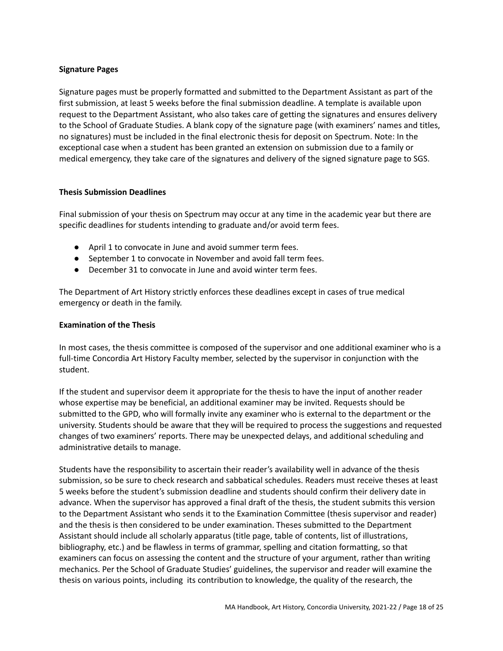# <span id="page-17-0"></span>**Signature Pages**

Signature pages must be properly formatted and submitted to the Department Assistant as part of the first submission, at least 5 weeks before the final submission deadline. A template is available upon request to the Department Assistant, who also takes care of getting the signatures and ensures delivery to the School of Graduate Studies. A blank copy of the signature page (with examiners' names and titles, no signatures) must be included in the final electronic thesis for deposit on Spectrum. Note: In the exceptional case when a student has been granted an extension on submission due to a family or medical emergency, they take care of the signatures and delivery of the signed signature page to SGS.

### <span id="page-17-1"></span>**Thesis Submission Deadlines**

Final submission of your thesis on Spectrum may occur at any time in the academic year but there are specific deadlines for students intending to graduate and/or avoid term fees.

- April 1 to convocate in June and avoid summer term fees.
- September 1 to convocate in November and avoid fall term fees.
- December 31 to convocate in June and avoid winter term fees.

The Department of Art History strictly enforces these deadlines except in cases of true medical emergency or death in the family.

### <span id="page-17-2"></span>**Examination of the Thesis**

In most cases, the thesis committee is composed of the supervisor and one additional examiner who is a full-time Concordia Art History Faculty member, selected by the supervisor in conjunction with the student.

If the student and supervisor deem it appropriate for the thesis to have the input of another reader whose expertise may be beneficial, an additional examiner may be invited. Requests should be submitted to the GPD, who will formally invite any examiner who is external to the department or the university. Students should be aware that they will be required to process the suggestions and requested changes of two examiners' reports. There may be unexpected delays, and additional scheduling and administrative details to manage.

Students have the responsibility to ascertain their reader's availability well in advance of the thesis submission, so be sure to check research and sabbatical schedules. Readers must receive theses at least 5 weeks before the student's submission deadline and students should confirm their delivery date in advance. When the supervisor has approved a final draft of the thesis, the student submits this version to the Department Assistant who sends it to the Examination Committee (thesis supervisor and reader) and the thesis is then considered to be under examination. Theses submitted to the Department Assistant should include all scholarly apparatus (title page, table of contents, list of illustrations, bibliography, etc.) and be flawless in terms of grammar, spelling and citation formatting, so that examiners can focus on assessing the content and the structure of your argument, rather than writing mechanics. Per the School of Graduate Studies' guidelines, the supervisor and reader will examine the thesis on various points, including its contribution to knowledge, the quality of the research, the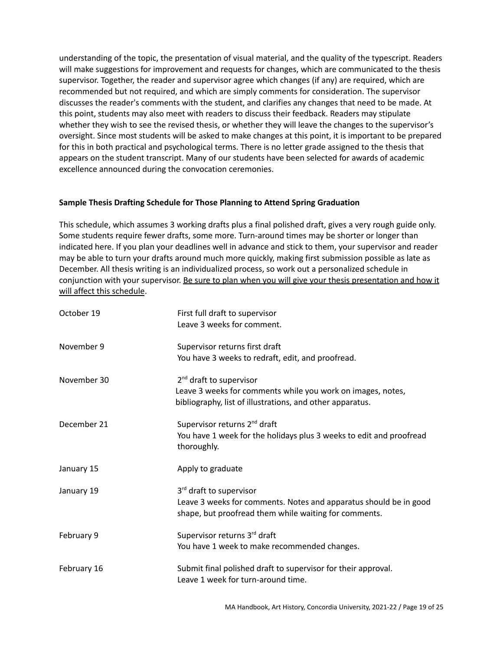understanding of the topic, the presentation of visual material, and the quality of the typescript. Readers will make suggestions for improvement and requests for changes, which are communicated to the thesis supervisor. Together, the reader and supervisor agree which changes (if any) are required, which are recommended but not required, and which are simply comments for consideration. The supervisor discusses the reader's comments with the student, and clarifies any changes that need to be made. At this point, students may also meet with readers to discuss their feedback. Readers may stipulate whether they wish to see the revised thesis, or whether they will leave the changes to the supervisor's oversight. Since most students will be asked to make changes at this point, it is important to be prepared for this in both practical and psychological terms. There is no letter grade assigned to the thesis that appears on the student transcript. Many of our students have been selected for awards of academic excellence announced during the convocation ceremonies.

# <span id="page-18-0"></span>**Sample Thesis Drafting Schedule for Those Planning to Attend Spring Graduation**

This schedule, which assumes 3 working drafts plus a final polished draft, gives a very rough guide only. Some students require fewer drafts, some more. Turn-around times may be shorter or longer than indicated here. If you plan your deadlines well in advance and stick to them, your supervisor and reader may be able to turn your drafts around much more quickly, making first submission possible as late as December. All thesis writing is an individualized process, so work out a personalized schedule in conjunction with your supervisor. Be sure to plan when you will give your thesis presentation and how it will affect this schedule.

| October 19  | First full draft to supervisor<br>Leave 3 weeks for comment.                                                                                                    |
|-------------|-----------------------------------------------------------------------------------------------------------------------------------------------------------------|
| November 9  | Supervisor returns first draft<br>You have 3 weeks to redraft, edit, and proofread.                                                                             |
| November 30 | 2 <sup>nd</sup> draft to supervisor<br>Leave 3 weeks for comments while you work on images, notes,<br>bibliography, list of illustrations, and other apparatus. |
| December 21 | Supervisor returns 2 <sup>nd</sup> draft<br>You have 1 week for the holidays plus 3 weeks to edit and proofread<br>thoroughly.                                  |
| January 15  | Apply to graduate                                                                                                                                               |
| January 19  | 3rd draft to supervisor<br>Leave 3 weeks for comments. Notes and apparatus should be in good<br>shape, but proofread them while waiting for comments.           |
| February 9  | Supervisor returns 3rd draft<br>You have 1 week to make recommended changes.                                                                                    |
| February 16 | Submit final polished draft to supervisor for their approval.<br>Leave 1 week for turn-around time.                                                             |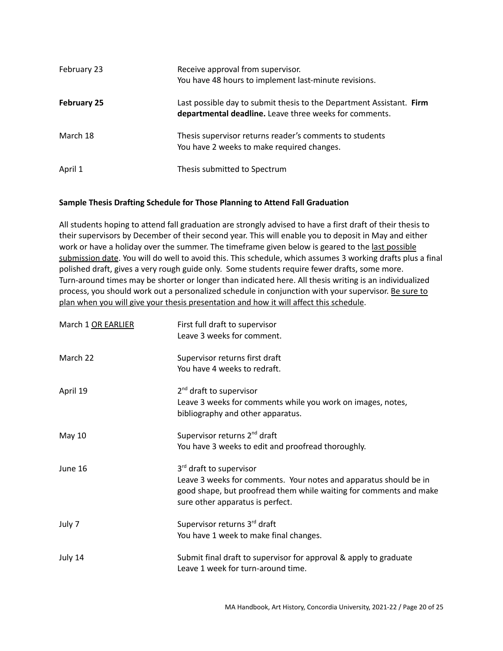| February 23        | Receive approval from supervisor.<br>You have 48 hours to implement last-minute revisions.                                     |
|--------------------|--------------------------------------------------------------------------------------------------------------------------------|
| <b>February 25</b> | Last possible day to submit thesis to the Department Assistant. Firm<br>departmental deadline. Leave three weeks for comments. |
| March 18           | Thesis supervisor returns reader's comments to students<br>You have 2 weeks to make required changes.                          |
| April 1            | Thesis submitted to Spectrum                                                                                                   |

# **Sample Thesis Drafting Schedule for Those Planning to Attend Fall Graduation**

All students hoping to attend fall graduation are strongly advised to have a first draft of their thesis to their supervisors by December of their second year. This will enable you to deposit in May and either work or have a holiday over the summer. The timeframe given below is geared to the last possible submission date. You will do well to avoid this. This schedule, which assumes 3 working drafts plus a final polished draft, gives a very rough guide only. Some students require fewer drafts, some more. Turn-around times may be shorter or longer than indicated here. All thesis writing is an individualized process, you should work out a personalized schedule in conjunction with your supervisor. Be sure to plan when you will give your thesis presentation and how it will affect this schedule.

| March 1 OR EARLIER | First full draft to supervisor<br>Leave 3 weeks for comment.                                                                                                                                           |
|--------------------|--------------------------------------------------------------------------------------------------------------------------------------------------------------------------------------------------------|
| March 22           | Supervisor returns first draft<br>You have 4 weeks to redraft.                                                                                                                                         |
| April 19           | 2 <sup>nd</sup> draft to supervisor<br>Leave 3 weeks for comments while you work on images, notes,<br>bibliography and other apparatus.                                                                |
| May 10             | Supervisor returns 2 <sup>nd</sup> draft<br>You have 3 weeks to edit and proofread thoroughly.                                                                                                         |
| June 16            | 3rd draft to supervisor<br>Leave 3 weeks for comments. Your notes and apparatus should be in<br>good shape, but proofread them while waiting for comments and make<br>sure other apparatus is perfect. |
| July 7             | Supervisor returns 3rd draft<br>You have 1 week to make final changes.                                                                                                                                 |
| July 14            | Submit final draft to supervisor for approval & apply to graduate<br>Leave 1 week for turn-around time.                                                                                                |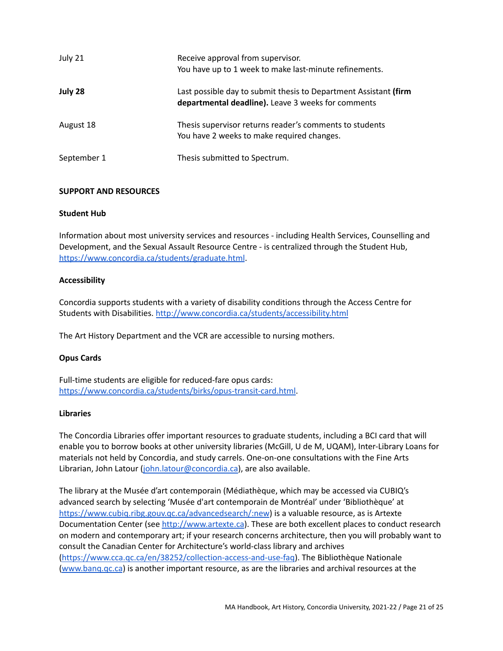| July 21     | Receive approval from supervisor.<br>You have up to 1 week to make last-minute refinements.                            |
|-------------|------------------------------------------------------------------------------------------------------------------------|
| July 28     | Last possible day to submit thesis to Department Assistant (firm<br>departmental deadline). Leave 3 weeks for comments |
| August 18   | Thesis supervisor returns reader's comments to students<br>You have 2 weeks to make required changes.                  |
| September 1 | Thesis submitted to Spectrum.                                                                                          |

# <span id="page-20-0"></span>**SUPPORT AND RESOURCES**

### <span id="page-20-1"></span>**Student Hub**

Information about most university services and resources - including Health Services, Counselling and Development, and the Sexual Assault Resource Centre - is centralized through the Student Hub, <https://www.concordia.ca/students/graduate.html>.

### <span id="page-20-2"></span>**Accessibility**

Concordia supports students with a variety of disability conditions through the Access Centre for Students with Disabilities. <http://www.concordia.ca/students/accessibility.html>

The Art History Department and the VCR are accessible to nursing mothers.

# <span id="page-20-3"></span>**Opus Cards**

Full-time students are eligible for reduced-fare opus cards: <https://www.concordia.ca/students/birks/opus-transit-card.html>.

### <span id="page-20-4"></span>**Libraries**

The Concordia Libraries offer important resources to graduate students, including a BCI card that will enable you to borrow books at other university libraries (McGill, U de M, UQAM), Inter-Library Loans for materials not held by Concordia, and study carrels. One-on-one consultations with the Fine Arts Librarian, John Latour [\(john.latour@concordia.ca\)](mailto:john.latour@concordia.ca), are also available.

The library at the Musée d'art contemporain (Médiathèque, which may be accessed via CUBIQ's advanced search by selecting 'Musée d'art contemporain de Montréal' under 'Bibliothèque' at <https://www.cubiq.ribg.gouv.qc.ca/advancedsearch/:new>) is a valuable resource, as is Artexte Documentation Center (see <http://www.artexte.ca>). These are both excellent places to conduct research on modern and contemporary art; if your research concerns architecture, then you will probably want to consult the Canadian Center for Architecture's world-class library and archives [\(https://www.cca.qc.ca/en/38252/collection-access-and-use-faq\)](https://www.cca.qc.ca/en/38252/collection-access-and-use-faq). The Bibliothèque Nationale [\(www.banq.qc.ca](http://www.banq.qc.ca)) is another important resource, as are the libraries and archival resources at the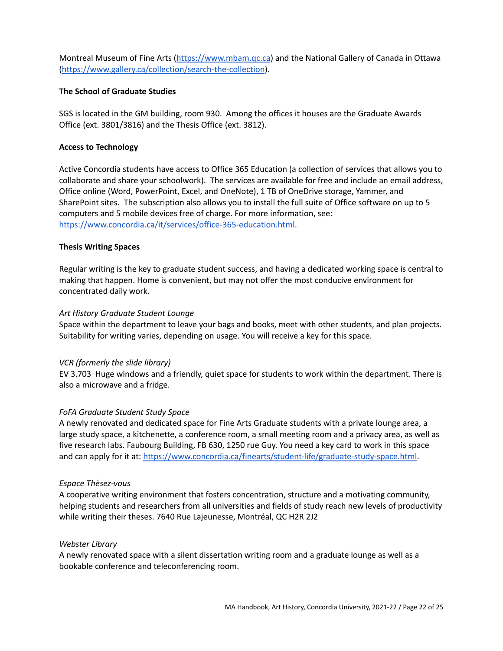Montreal Museum of Fine Arts ([https://www.mbam.qc.ca](https://www.mbam.qc.ca/en/)) and the National Gallery of Canada in Ottawa [\(https://www.gallery.ca/collection/search-the-collection](https://www.gallery.ca/collection/search-the-collection)).

#### <span id="page-21-0"></span>**The School of Graduate Studies**

SGS is located in the GM building, room 930. Among the offices it houses are the Graduate Awards Office (ext. 3801/3816) and the Thesis Office (ext. 3812).

### <span id="page-21-1"></span>**Access to Technology**

Active Concordia students have access to Office 365 Education (a collection of services that allows you to collaborate and share your schoolwork). The services are available for free and include an email address, Office online (Word, PowerPoint, Excel, and OneNote), 1 TB of OneDrive storage, Yammer, and SharePoint sites. The subscription also allows you to install the full suite of Office software on up to 5 computers and 5 mobile devices free of charge. For more information, see: [https://www.concordia.ca/it/services/office-365-education.html.](https://www.concordia.ca/it/services/office-365-education.html)

### <span id="page-21-2"></span>**Thesis Writing Spaces**

Regular writing is the key to graduate student success, and having a dedicated working space is central to making that happen. Home is convenient, but may not offer the most conducive environment for concentrated daily work.

### *Art History Graduate Student Lounge*

Space within the department to leave your bags and books, meet with other students, and plan projects. Suitability for writing varies, depending on usage. You will receive a key for this space.

### *VCR (formerly the slide library)*

EV 3.703 Huge windows and a friendly, quiet space for students to work within the department. There is also a microwave and a fridge.

### *FoFA Graduate Student Study Space*

A newly renovated and dedicated space for Fine Arts Graduate students with a private lounge area, a large study space, a kitchenette, a conference room, a small meeting room and a privacy area, as well as five research labs. Faubourg Building, FB 630, 1250 rue Guy. You need a key card to work in this space and can apply for it at: [https://www.concordia.ca/finearts/student-life/graduate-study-space.html.](https://www.concordia.ca/finearts/student-life/graduate-study-space.html)

### *Espace Thèsez-vous*

A cooperative writing environment that fosters concentration, structure and a motivating community, helping students and researchers from all universities and fields of study reach new levels of productivity while writing their theses. 7640 Rue Lajeunesse, Montréal, QC H2R 2J2

### *Webster Library*

A newly renovated space with a silent dissertation writing room and a graduate lounge as well as a bookable conference and teleconferencing room.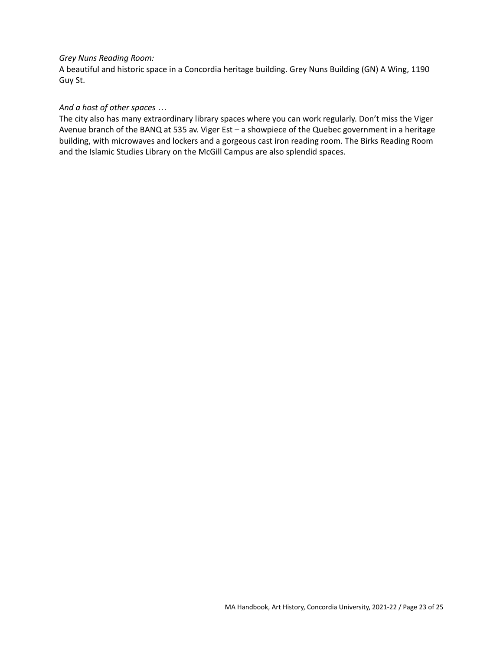### *Grey Nuns Reading Room:*

A beautiful and historic space in a Concordia heritage building. Grey Nuns Building (GN) A Wing, 1190 Guy St.

### *And a host of other spaces …*

The city also has many extraordinary library spaces where you can work regularly. Don't miss the Viger Avenue branch of the BANQ at 535 av. Viger Est – a showpiece of the Quebec government in a heritage building, with microwaves and lockers and a gorgeous cast iron reading room. The Birks Reading Room and the Islamic Studies Library on the McGill Campus are also splendid spaces.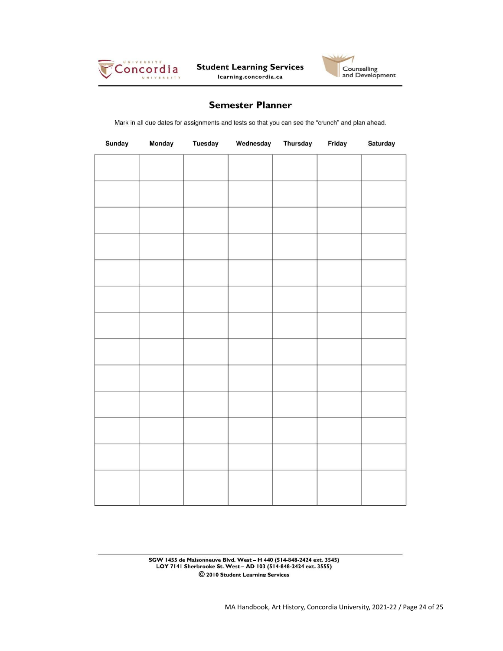



# **Semester Planner**

Mark in all due dates for assignments and tests so that you can see the "crunch" and plan ahead.

| Sunday | Monday | <b>Tuesday</b> | Wednesday | <b>Thursday</b> | Friday | Saturday |
|--------|--------|----------------|-----------|-----------------|--------|----------|
|        |        |                |           |                 |        |          |
|        |        |                |           |                 |        |          |
|        |        |                |           |                 |        |          |
|        |        |                |           |                 |        |          |
|        |        |                |           |                 |        |          |
|        |        |                |           |                 |        |          |
|        |        |                |           |                 |        |          |
|        |        |                |           |                 |        |          |
|        |        |                |           |                 |        |          |
|        |        |                |           |                 |        |          |
|        |        |                |           |                 |        |          |
|        |        |                |           |                 |        |          |
|        |        |                |           |                 |        |          |
|        |        |                |           |                 |        |          |

SGW 1455 de Maisonneuve Blvd. West - H 440 (514-848-2424 ext. 3545)<br>LOY 7141 Sherbrooke St. West - AD 103 (514-848-2424 ext. 3555) © 2010 Student Learning Services